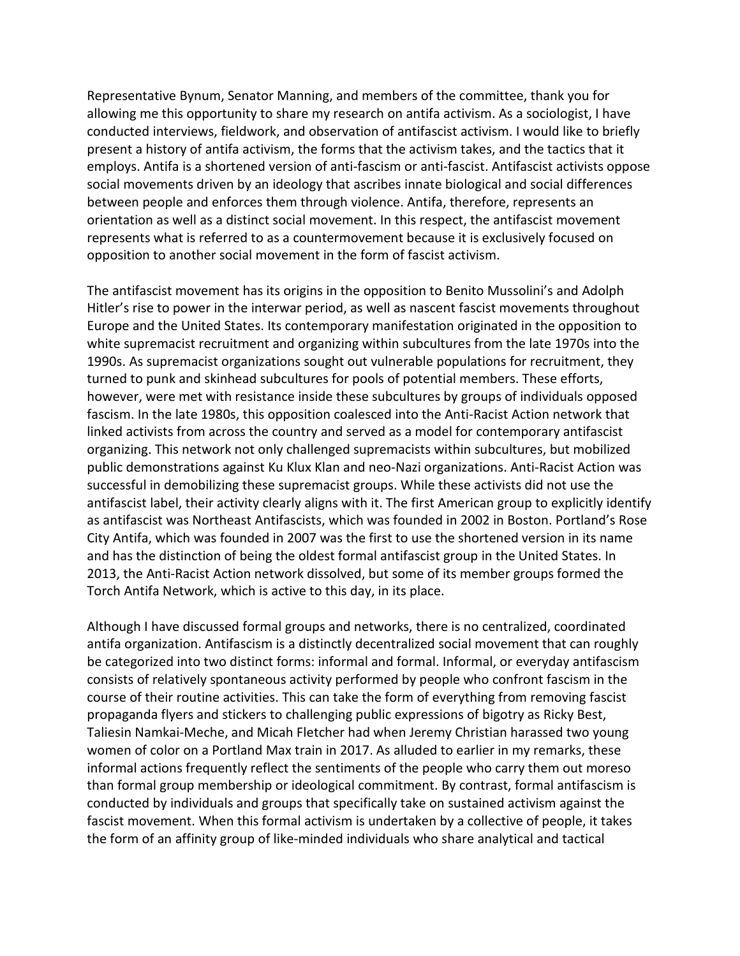Representative Bynum, Senator Manning, and members of the committee, thank you for allowing me this opportunity to share my research on antifa activism. As a sociologist, I have conducted interviews, fieldwork, and observation of antifascist activism. I would like to briefly present a history of antifa activism, the forms that the activism takes, and the tactics that it employs. Antifa is a shortened version of anti-fascism or anti-fascist. Antifascist activists oppose social movements driven by an ideology that ascribes innate biological and social differences between people and enforces them through violence. Antifa, therefore, represents an orientation as well as a distinct social movement. In this respect, the antifascist movement represents what is referred to as a countermovement because it is exclusively focused on opposition to another social movement in the form of fascist activism.

The antifascist movement has its origins in the opposition to Benito Mussolini's and Adolph Hitler's rise to power in the interwar period, as well as nascent fascist movements throughout Europe and the United States. Its contemporary manifestation originated in the opposition to white supremacist recruitment and organizing within subcultures from the late 1970s into the 1990s. As supremacist organizations sought out vulnerable populations for recruitment, they turned to punk and skinhead subcultures for pools of potential members. These efforts, however, were met with resistance inside these subcultures by groups of individuals opposed fascism. In the late 1980s, this opposition coalesced into the Anti-Racist Action network that linked activists from across the country and served as a model for contemporary antifascist organizing. This network not only challenged supremacists within subcultures, but mobilized public demonstrations against Ku Klux Klan and neo-Nazi organizations. Anti-Racist Action was successful in demobilizing these supremacist groups. While these activists did not use the antifascist label, their activity clearly aligns with it. The first American group to explicitly identify as antifascist was Northeast Antifascists, which was founded in 2002 in Boston. Portland's Rose City Antifa, which was founded in 2007 was the first to use the shortened version in its name and has the distinction of being the oldest formal antifascist group in the United States. In 2013, the Anti-Racist Action network dissolved, but some of its member groups formed the Torch Antifa Network, which is active to this day, in its place.

Although I have discussed formal groups and networks, there is no centralized, coordinated antifa organization. Antifascism is a distinctly decentralized social movement that can roughly be categorized into two distinct forms: informal and formal. Informal, or everyday antifascism consists of relatively spontaneous activity performed by people who confront fascism in the course of their routine activities. This can take the form of everything from removing fascist propaganda flyers and stickers to challenging public expressions of bigotry as Ricky Best, Taliesin Namkai-Meche, and Micah Fletcher had when Jeremy Christian harassed two young women of color on a Portland Max train in 2017. As alluded to earlier in my remarks, these informal actions frequently reflect the sentiments of the people who carry them out moreso than formal group membership or ideological commitment. By contrast, formal antifascism is conducted by individuals and groups that specifically take on sustained activism against the fascist movement. When this formal activism is undertaken by a collective of people, it takes the form of an affinity group of like-minded individuals who share analytical and tactical